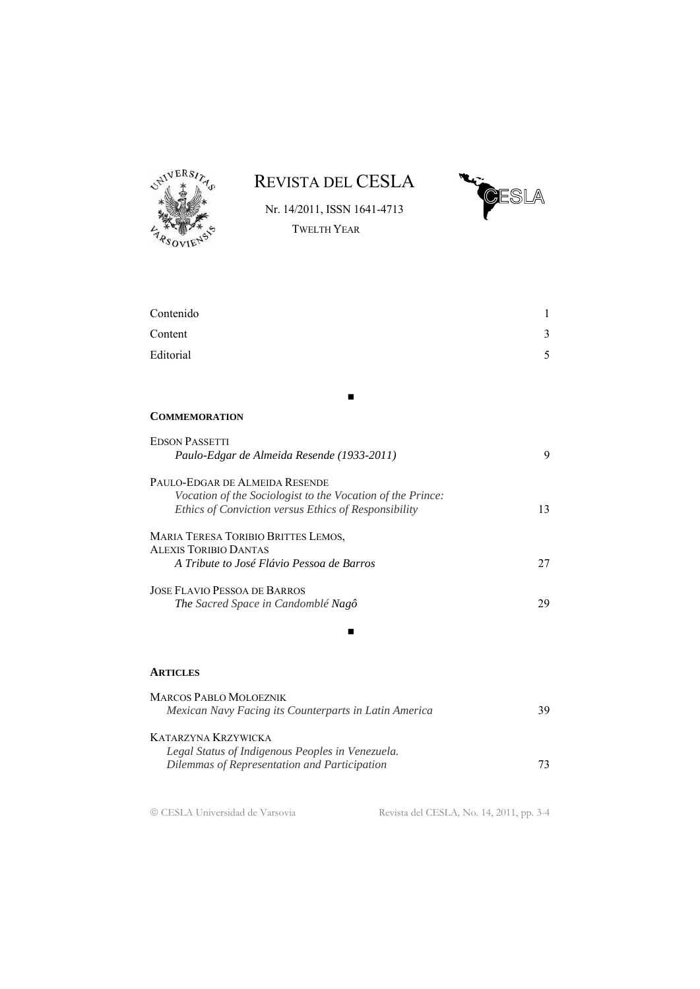

REVISTA DEL CESLA



Nr. 14/2011, ISSN 1641-4713 TWELTH YEAR

| Contenido                                                  | 1  |
|------------------------------------------------------------|----|
| Content                                                    | 3  |
| Editorial                                                  | 5  |
|                                                            |    |
|                                                            |    |
| <b>COMMEMORATION</b>                                       |    |
| <b>EDSON PASSETTI</b>                                      |    |
| Paulo-Edgar de Almeida Resende (1933-2011)                 | 9  |
| PAULO-EDGAR DE ALMEIDA RESENDE                             |    |
| Vocation of the Sociologist to the Vocation of the Prince: |    |
| Ethics of Conviction versus Ethics of Responsibility       | 13 |
| MARIA TERESA TORIBIO BRITTES LEMOS,                        |    |
| <b>ALEXIS TORIBIO DANTAS</b>                               |    |
| A Tribute to José Flávio Pessoa de Barros                  | 27 |
| <b>JOSE FLAVIO PESSOA DE BARROS</b>                        |    |
| The Sacred Space in Candomblé Nagô                         | 29 |
|                                                            |    |
|                                                            |    |
| <b>ARTICLES</b>                                            |    |

| <b>MARCOS PABLO MOLOEZNIK</b>                         |     |
|-------------------------------------------------------|-----|
| Mexican Navy Facing its Counterparts in Latin America | 39. |
| KATARZYNA KRZYWICKA                                   |     |
| Legal Status of Indigenous Peoples in Venezuela.      |     |
| Dilemmas of Representation and Participation          | 73. |
|                                                       |     |

CESLA Universidad de Varsovia Revista del CESLA*,* No*.* 14, 2011, pp. 3-4